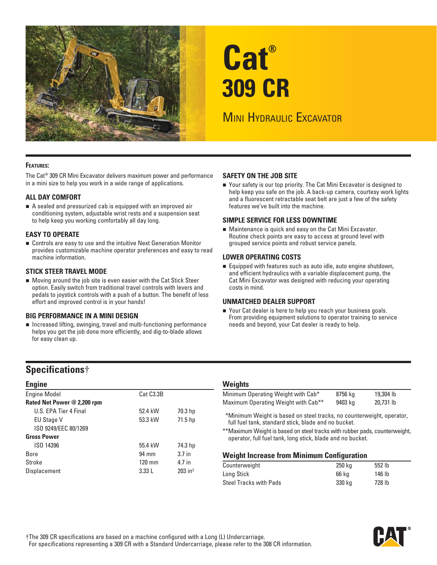

# **Cat® 309 CR**

# **MINI HYDRAULIC EXCAVATOR**

#### **FEATURES:**

The Cat® 309 CR Mini Excavator delivers maximum power and performance in a mini size to help you work in a wide range of applications.

#### **ALL DAY COMFORT**

 A sealed and pressurized cab is equipped with an improved air conditioning system, adjustable wrist rests and a suspension seat to help keep you working comfortably all day long.

#### **EASY TO OPERATE**

 Controls are easy to use and the intuitive Next Generation Monitor provides customizable machine operator preferences and easy to read machine information.

#### **STICK STEER TRAVEL MODE**

 Moving around the job site is even easier with the Cat Stick Steer option. Easily switch from traditional travel controls with levers and pedals to joystick controls with a push of a button. The benefit of less effort and improved control is in your hands!

#### **BIG PERFORMANCE IN A MINI DESIGN**

 Increased lifting, swinging, travel and multi-functioning performance helps you get the job done more efficiently, and dig-to-blade allows for easy clean up.

#### **SAFETY ON THE JOB SITE**

■ Your safety is our top priority. The Cat Mini Excavator is designed to help keep you safe on the job. A back-up camera, courtesy work lights and a fluorescent retractable seat belt are just a few of the safety features we've built into the machine.

#### **SIMPLE SERVICE FOR LESS DOWNTIME**

 Maintenance is quick and easy on the Cat Mini Excavator. Routine check points are easy to access at ground level with grouped service points and robust service panels.

#### **LOWER OPERATING COSTS**

 Equipped with features such as auto idle, auto engine shutdown, and efficient hydraulics with a variable displacement pump, the Cat Mini Excavator was designed with reducing your operating costs in mind.

#### **UNMATCHED DEALER SUPPORT**

■ Your Cat dealer is here to help you reach your business goals. From providing equipment solutions to operator training to service needs and beyond, your Cat dealer is ready to help.

## **Specifications**†

| <b>Engine</b>               |                        |                       |
|-----------------------------|------------------------|-----------------------|
| <b>Engine Model</b>         | Cat C <sub>3.3</sub> B |                       |
| Rated Net Power @ 2,200 rpm |                        |                       |
| U.S. FPA Tier 4 Final       | 52.4 kW                | 70.3 hp               |
| <b>EU Stage V</b>           | 53.3 kW                | 71.5 hp               |
| ISO 9249/EEC 80/1269        |                        |                       |
| <b>Gross Power</b>          |                        |                       |
| ISO 14396                   | 55.4 kW                | 74.3 hp               |
| <b>Bore</b>                 | 94 mm                  | 3.7 <sub>in</sub>     |
| Stroke                      | $120 \text{ mm}$       | 4.7 in                |
| Displacement                | 3.33L                  | $203$ in <sup>3</sup> |
|                             |                        |                       |

#### **Weights**

| Minimum Operating Weight with Cab*              | 8756 kg | 19,304 lb |
|-------------------------------------------------|---------|-----------|
| Maximum Operating Weight with Cab <sup>**</sup> | 9403 kg | 20.731 lb |

\* \*Minimum Weight is based on steel tracks, no counterweight, operator, full fuel tank, standard stick, blade and no bucket.

\*\*Maximum Weight is based on steel tracks with rubber pads, counterweight, operator, full fuel tank, long stick, blade and no bucket.

#### **Weight Increase from Minimum Configuration**

| Counterweight          | 250 ka | 552 lb |  |
|------------------------|--------|--------|--|
| Long Stick             | 66 ka  | 146 lb |  |
| Steel Tracks with Pads | 330 ka | 728 lb |  |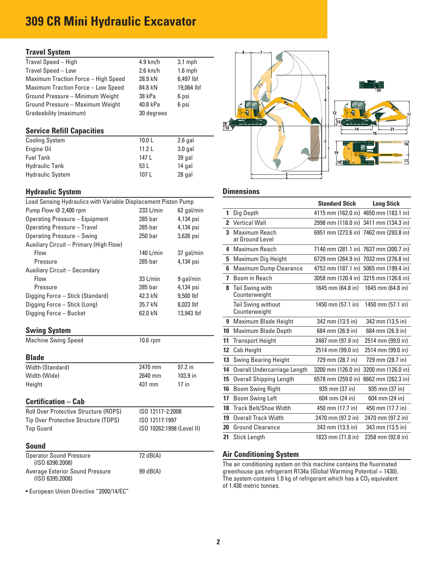# **309 CR Mini Hydraulic Excavator**

#### **Travel System**

| Travel Speed - High                       | $4.9$ km/h | $3.1$ mph  |
|-------------------------------------------|------------|------------|
| Travel Speed - Low                        | $2.6$ km/h | $1.6$ mph  |
| Maximum Traction Force - High Speed       | 28.9 kN    | 6,497 lbf  |
| <b>Maximum Traction Force - Low Speed</b> | 84.8 kN    | 19,064 lbf |
| Ground Pressure - Minimum Weight          | 38 kPa     | 6 psi      |
| Ground Pressure - Maximum Weight          | 40.8 kPa   | 6 psi      |
| Gradeability (maximum)                    | 30 degrees |            |
|                                           |            |            |

#### **Service Refill Capacities**

| <b>Cooling System</b>   | 10.0 <sub>L</sub> | $2.6$ gal |
|-------------------------|-------------------|-----------|
| Engine Oil              | 11.21             | $3.0$ gal |
| <b>Fuel Tank</b>        | 147 L             | 39 gal    |
| <b>Hydraulic Tank</b>   | 53 L              | 14 gal    |
| <b>Hydraulic System</b> | 107 L             | 28 gal    |

#### **Hydraulic System Community Community Community Community Community Community Community Community Community Community**

| Load Sensing Hydraulics with Variable Displacement Piston Pump   |                                 |                           |    |                                                                      | <b>Standard Stick</b>             | <b>Long Stick</b> |
|------------------------------------------------------------------|---------------------------------|---------------------------|----|----------------------------------------------------------------------|-----------------------------------|-------------------|
| Pump Flow @ 2,400 rpm                                            | 233 L/min                       | 62 gal/min                |    | 1 Dig Depth                                                          | 4115 mm (162.0 in) 4650 mm (183.1 |                   |
| <b>Operating Pressure - Equipment</b>                            | 285 bar                         | 4,134 psi                 |    | 2 Vertical Wall                                                      | 2998 mm (118.0 in) 3411 mm (134.3 |                   |
| <b>Operating Pressure - Travel</b><br>Operating Pressure - Swing | 285 <sub>bar</sub><br>$250$ bar | 4,134 psi<br>3,626 psi    |    | 3 Maximum Reach<br>at Ground Level                                   | 6951 mm (273.6 in) 7462 mm (293.8 |                   |
| Auxiliary Circuit - Primary (High Flow)                          |                                 |                           |    | 4 Maximum Reach                                                      | 7140 mm (281.1 in) 7637 mm (300.7 |                   |
| Flow                                                             | 140 $L/min$                     | 37 gal/min                |    | 5 Maximum Dig Height                                                 | 6729 mm (264.9 in) 7032 mm (276.8 |                   |
| Pressure<br>Auxiliary Circuit - Secondary                        | 285 bar                         | 4,134 psi                 |    | 6 Maximum Dump Clearance                                             | 4753 mm (187.1 in) 5065 mm (199.4 |                   |
| Flow                                                             | 33 L/min                        | 9 gal/min                 |    | 7 Boom in Reach                                                      | 3058 mm (120.4 in) 3215 mm (126.6 |                   |
| Pressure                                                         | $285$ bar                       | 4,134 psi                 |    | 8 Tail Swing with                                                    | 1645 mm (64.8 in)                 | 1645 mm (64.8     |
| Digging Force - Stick (Standard)                                 | 42.3 kN                         | 9,500 lbf                 |    | Counterweight                                                        |                                   |                   |
| Digging Force - Stick (Long)<br>Digging Force - Bucket           | 35.7 kN<br>62.0 kN              | 8.023 lbf<br>13,943 lbf   |    | Tail Swing without<br>Counterweight                                  | 1450 mm (57.1 in)                 | 1450 mm (57.1)    |
|                                                                  |                                 |                           |    | 9 Maximum Blade Height                                               | 342 mm (13.5 in)                  | 342 mm (13.5 i    |
| <b>Swing System</b>                                              |                                 |                           |    | 10 Maximum Blade Depth                                               | 684 mm (26.9 in)                  | 684 mm (26.9)     |
| <b>Machine Swing Speed</b>                                       | 10.6 rpm                        |                           |    | 11 Transport Height                                                  | 2487 mm (97.9 in)                 | 2514 mm (99.0     |
|                                                                  |                                 |                           |    | 12 Cab Height                                                        | 2514 mm (99.0 in)                 | 2514 mm (99.0     |
| <b>Blade</b>                                                     |                                 |                           |    | 13 Swing Bearing Height                                              | 729 mm (28.7 in)                  | 729 mm (28.7 i    |
| Width (Standard)                                                 | 2470 mm                         | 97.2 in                   |    | 14 Overall Undercarriage Length                                      | 3200 mm (126.0 in)                | 3200 mm (126.0    |
| Width (Wide)                                                     | 2640 mm                         | 103.9 in                  |    | 15 Overall Shipping Length                                           | 6578 mm (259.0 in) 6662 mm (262.3 |                   |
| Height                                                           | 431 mm                          | $17$ in                   |    | 16 Boom Swing Right                                                  | 935 mm (37 in)                    | 935 mm (37 ir     |
| <b>Certification - Cab</b>                                       |                                 |                           | 17 | <b>Boom Swing Left</b>                                               | 604 mm (24 in)                    | 604 mm (24 ir     |
| Roll Over Protective Structure (ROPS)                            | ISO 12117-2:2008                |                           |    | 18 Track Belt/Shoe Width                                             | 450 mm (17.7 in)                  | 450 mm (17.7 i    |
| Tip Over Protective Structure (TOPS)                             | ISO 12117:1997                  |                           |    | 19 Overall Track Width                                               | 2470 mm (97.2 in)                 | 2470 mm (97.2     |
| <b>Top Guard</b>                                                 |                                 | ISO 10262:1998 (Level II) |    | 20 Ground Clearance                                                  | 343 mm (13.5 in)                  | 343 mm (13.5 i    |
|                                                                  |                                 |                           |    | 21 Stick Length                                                      | 1823 mm (71.8 in)                 | 2358 mm (92.8)    |
| <b>Sound</b>                                                     |                                 |                           |    |                                                                      |                                   |                   |
| <b>Operator Sound Pressure</b>                                   | 72 dB(A)                        |                           |    | <b>Air Conditioning System</b>                                       |                                   |                   |
| (ISO 6396:2008)                                                  |                                 |                           |    | The air conditioning system on this machine contains the fluorinated |                                   |                   |

• European Union Directive "2000/14/EC"



| Load Sensing Hydraulics with Variable Displacement Piston Pump   |                           |                         |                  |                                     | <b>Standard Stick</b> | <b>Long Stick</b>                     |
|------------------------------------------------------------------|---------------------------|-------------------------|------------------|-------------------------------------|-----------------------|---------------------------------------|
| Pump Flow @ 2,400 rpm                                            | 233 L/min                 | 62 gal/min              |                  | 1 Dig Depth                         |                       | 4115 mm (162.0 in) 4650 mm (183.1 in) |
| <b>Operating Pressure - Equipment</b>                            | 285 bar                   | 4,134 psi               |                  | 2 Vertical Wall                     |                       | 2998 mm (118.0 in) 3411 mm (134.3 in) |
| <b>Operating Pressure - Travel</b><br>Operating Pressure - Swing | 285 bar<br>250 bar        | 4,134 psi<br>3,626 psi  |                  | 3 Maximum Reach<br>at Ground Level  |                       | 6951 mm (273.6 in) 7462 mm (293.8 in) |
| Auxiliary Circuit - Primary (High Flow)<br>Flow                  | 140 $L/min$               | 37 gal/min              |                  | 4 Maximum Reach                     |                       | 7140 mm (281.1 in) 7637 mm (300.7 in) |
| Pressure                                                         | $285$ bar                 | 4,134 psi               |                  | 5 Maximum Dig Height                |                       | 6729 mm (264.9 in) 7032 mm (276.8 in) |
| Auxiliary Circuit - Secondary                                    |                           |                         |                  | 6 Maximum Dump Clearance            |                       | 4753 mm (187.1 in) 5065 mm (199.4 in) |
| Flow                                                             | 33 L/min                  | 9 gal/min               |                  | 7 Boom in Reach                     |                       | 3058 mm (120.4 in) 3215 mm (126.6 in) |
| Pressure<br>Digging Force – Stick (Standard)                     | $285$ bar<br>42.3 kN      | 4,134 psi<br>9,500 lbf  |                  | 8 Tail Swing with<br>Counterweight  | 1645 mm (64.8 in)     | 1645 mm (64.8 in)                     |
| Digging Force – Stick (Long)<br>Digging Force - Bucket           | 35.7 kN<br>62.0 kN        | 8,023 lbf<br>13,943 lbf |                  | Tail Swing without<br>Counterweight | 1450 mm (57.1 in)     | 1450 mm (57.1 in)                     |
|                                                                  |                           |                         |                  | 9 Maximum Blade Height              | 342 mm (13.5 in)      | 342 mm (13.5 in)                      |
| <b>Swing System</b>                                              |                           |                         |                  | 10 Maximum Blade Depth              | 684 mm (26.9 in)      | 684 mm (26.9 in)                      |
| <b>Machine Swing Speed</b>                                       | 10.6 rpm                  |                         |                  | <b>11 Transport Height</b>          | 2487 mm (97.9 in)     | 2514 mm (99.0 in)                     |
|                                                                  |                           |                         | 12 <sup>12</sup> | Cab Height                          | 2514 mm (99.0 in)     | 2514 mm (99.0 in)                     |
| <b>Blade</b>                                                     |                           |                         | 13               | <b>Swing Bearing Height</b>         | 729 mm (28.7 in)      | 729 mm (28.7 in)                      |
| Width (Standard)                                                 | 2470 mm                   | 97.2 in                 |                  | 14 Overall Undercarriage Length     | 3200 mm (126.0 in)    | 3200 mm (126.0 in)                    |
| Width (Wide)                                                     | 2640 mm                   | 103.9 in                | 15 <sub>15</sub> | <b>Overall Shipping Length</b>      |                       | 6578 mm (259.0 in) 6662 mm (262.3 in) |
| Height                                                           | 431 mm                    | $17$ in                 |                  | 16 Boom Swing Right                 | 935 mm (37 in)        | 935 mm (37 in)                        |
| <b>Certification – Cab</b>                                       |                           |                         | 17               | <b>Boom Swing Left</b>              | 604 mm (24 in)        | 604 mm (24 in)                        |
| Roll Over Protective Structure (ROPS)                            | ISO 12117-2:2008          |                         |                  | 18 Track Belt/Shoe Width            | 450 mm (17.7 in)      | 450 mm (17.7 in)                      |
| Tip Over Protective Structure (TOPS)                             | ISO 12117:1997            |                         | 19               | <b>Overall Track Width</b>          | 2470 mm (97.2 in)     | 2470 mm (97.2 in)                     |
| <b>Top Guard</b>                                                 | ISO 10262:1998 (Level II) |                         |                  | 20 Ground Clearance                 | 343 mm (13.5 in)      | 343 mm (13.5 in)                      |
|                                                                  |                           |                         |                  | 21 Stick Length                     | 1823 mm (71.8 in)     | 2358 mm (92.8 in)                     |

#### **Air Conditioning System**

 (ISO 6396:2008) The air conditioning system on this machine contains the fluorinated Average Exterior Sound Pressure 99 dB(A) greenhouse gas refrigerant R134a (Global Warming Potential = 1430). (ISO 6395:2008)  $($ ISO 6395:2008) of 1.430 metric tonnes.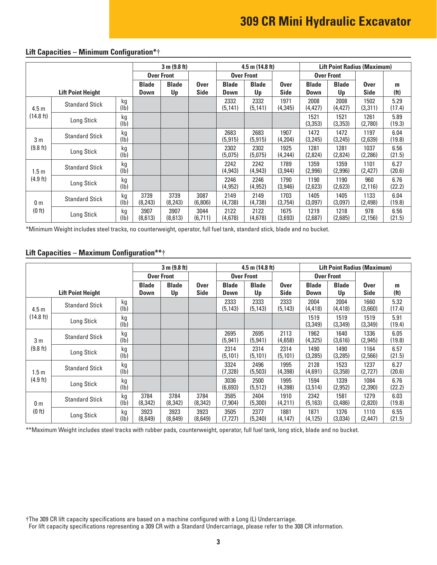# **309 CR Mini Hydraulic Excavator**

|                          |                       |                       | 3 m (9.8 ft)       |                            |                             |                    | $4.5$ m (14.8 ft)   |                      | <b>Lift Point Radius (Maximum)</b> |                            |                        |                |
|--------------------------|-----------------------|-----------------------|--------------------|----------------------------|-----------------------------|--------------------|---------------------|----------------------|------------------------------------|----------------------------|------------------------|----------------|
|                          |                       |                       | <b>Over Front</b>  |                            |                             | <b>Over Front</b>  |                     |                      | <b>Over Front</b>                  |                            |                        |                |
| <b>Lift Point Height</b> |                       | <b>Blade</b><br>Down  | <b>Blade</b><br>Up | <b>Over</b><br><b>Side</b> | <b>Blade</b><br><b>Down</b> | <b>Blade</b><br>Up | <b>Over</b><br>Side | <b>Blade</b><br>Down | <b>Blade</b><br>Up                 | <b>Over</b><br><b>Side</b> | m<br>(f <sup>t</sup> ) |                |
| 4.5 <sub>m</sub>         | <b>Standard Stick</b> | kg<br>$(\mathsf{lb})$ |                    |                            |                             | 2332<br>(5, 141)   | 2332<br>(5, 141)    | 1971<br>(4, 345)     | 2008<br>(4,427)                    | 2008<br>(4,427)            | 1502<br>(3,311)        | 5.29<br>(17.4) |
| $(14.8 \text{ ft})$      | Long Stick            | kg<br>(1b)            |                    |                            |                             |                    |                     |                      | 1521<br>(3,353)                    | 1521<br>(3, 353)           | 1261<br>(2,780)        | 5.89<br>(19.3) |
| 3 <sub>m</sub>           | <b>Standard Stick</b> | kg<br>(1b)            |                    |                            |                             | 2683<br>(5, 915)   | 2683<br>(5, 915)    | 1907<br>(4,204)      | 1472<br>(3,245)                    | 1472<br>(3,245)            | 1197<br>(2,639)        | 6.04<br>(19.8) |
| (9.8 ft)                 | Long Stick            | kg<br>(lb)            |                    |                            |                             | 2302<br>(5,075)    | 2302<br>(5,075)     | 1925<br>(4, 244)     | 1281<br>(2,824)                    | 1281<br>(2,824)            | 1037<br>(2,286)        | 6.56<br>(21.5) |
| 1.5 <sub>m</sub>         | <b>Standard Stick</b> | kg<br>(1b)            |                    |                            |                             | 2242<br>(4, 943)   | 2242<br>(4,943)     | 1789<br>(3,944)      | 1359<br>(2,996)                    | 1359<br>(2,996)            | 1101<br>(2,427)        | 6.27<br>(20.6) |
| (4.9 ft)                 | Long Stick            | kg<br>(1b)            |                    |                            |                             | 2246<br>(4, 952)   | 2246<br>(4, 952)    | 1790<br>(3,946)      | 1190<br>(2,623)                    | 1190<br>(2,623)            | 960<br>(2, 116)        | 6.76<br>(22.2) |
| 0 <sub>m</sub>           | <b>Standard Stick</b> | kg<br>(Ib)            | 3739<br>(8, 243)   | 3739<br>(8, 243)           | 3087<br>(6,806)             | 2149<br>(4,738)    | 2149<br>(4,738)     | 1703<br>(3,754)      | 1405<br>(3,097)                    | 1405<br>(3,097)            | 1133<br>(2, 498)       | 6.04<br>(19.8) |
| (0 ft)                   | Long Stick            | kg<br>(Ib)            | 3907<br>(8,613)    | 3907<br>(8,613)            | 3044<br>(6, 711)            | 2122<br>(4,678)    | 2122<br>(4,678)     | 1675<br>(3,693)      | 1219<br>(2,687)                    | 1218<br>(2,685)            | 978<br>(2, 156)        | 6.56<br>(21.5) |

### **Lift Capacities – Minimum Configuration\***†

\*Minimum Weight includes steel tracks, no counterweight, operator, full fuel tank, standard stick, blade and no bucket.

#### **Lift Capacities – Maximum Configuration\*\***†

|                          |                       |                             | 3 m (9.8 ft)       |                     |                      |                    | 4.5 m $(14.8 \text{ ft})$  |                      | <b>Lift Point Radius (Maximum)</b> |                            |                        |                |
|--------------------------|-----------------------|-----------------------------|--------------------|---------------------|----------------------|--------------------|----------------------------|----------------------|------------------------------------|----------------------------|------------------------|----------------|
|                          |                       |                             | <b>Over Front</b>  |                     |                      | <b>Over Front</b>  |                            | <b>Over Front</b>    |                                    |                            |                        |                |
| <b>Lift Point Height</b> |                       | <b>Blade</b><br><b>Down</b> | <b>Blade</b><br>Up | Over<br><b>Side</b> | <b>Blade</b><br>Down | <b>Blade</b><br>Up | <b>Over</b><br><b>Side</b> | <b>Blade</b><br>Down | <b>Blade</b><br>Up                 | <b>Over</b><br><b>Side</b> | m<br>(f <sup>t</sup> ) |                |
| 4.5 <sub>m</sub>         | <b>Standard Stick</b> | kg<br>(1b)                  |                    |                     |                      | 2333<br>(5, 143)   | 2333<br>(5, 143)           | 2333<br>(5, 143)     | 2004<br>(4, 418)                   | 2004<br>(4, 418)           | 1660<br>(3,660)        | 5.32<br>(17.4) |
| (14.8 ft)                | Long Stick            | kg<br>(1b)                  |                    |                     |                      |                    |                            |                      | 1519<br>(3,349)                    | 1519<br>(3,349)            | 1519<br>(3,349)        | 5.91<br>(19.4) |
| 3 <sub>m</sub>           | <b>Standard Stick</b> | kg<br>(Ib)                  |                    |                     |                      | 2695<br>(5, 941)   | 2695<br>(5, 941)           | 2113<br>(4,658)      | 1962<br>(4,325)                    | 1640<br>(3,616)            | 1336<br>(2, 945)       | 6.05<br>(19.8) |
| (9.8 ft)                 | Long Stick            | kg<br>(1b)                  |                    |                     |                      | 2314<br>(5, 101)   | 2314<br>(5, 101)           | 2314<br>(5, 101)     | 1490<br>(3,285)                    | 1490<br>(3,285)            | 1164<br>(2,566)        | 6.57<br>(21.5) |
| 1.5 <sub>m</sub>         | <b>Standard Stick</b> | kg<br>$(\mathsf{lb})$       |                    |                     |                      | 3324<br>(7,328)    | 2496<br>(5,503)            | 1995<br>(4,398)      | 2128<br>(4,691)                    | 1523<br>(3,358)            | 1237<br>(2,727)        | 6.27<br>(20.6) |
| $(4.9$ ft)               | Long Stick            | kg<br>(1b)                  |                    |                     |                      | 3036<br>(6,693)    | 2500<br>(5, 512)           | 1995<br>(4,398)      | 1594<br>(3,514)                    | 1339<br>(2, 952)           | 1084<br>(2,390)        | 6.76<br>(22.2) |
| 0 <sub>m</sub>           | <b>Standard Stick</b> | kg<br>(Ib)                  | 3784<br>(8, 342)   | 3784<br>(8, 342)    | 3784<br>(8,342)      | 3585<br>(7,904)    | 2404<br>(5,300)            | 1910<br>(4,211)      | 2342<br>(5, 163)                   | 1581<br>(3,486)            | 1279<br>(2,820)        | 6.03<br>(19.8) |
| (0 ft)                   | Long Stick            | kg<br>(lb)                  | 3923<br>(8,649)    | 3923<br>(8,649)     | 3923<br>(8,649)      | 3505<br>(7,727)    | 2377<br>(5, 240)           | 1881<br>(4, 147)     | 1871<br>(4, 125)                   | 1376<br>(3,034)            | 1110<br>(2, 447)       | 6.55<br>(21.5) |

\*\* Maximum Weight includes steel tracks with rubber pads, counterweight, operator, full fuel tank, long stick, blade and no bucket.

†The 309 CR lift capacity specifications are based on a machine configured with a Long (L) Undercarriage.

For lift capacity specifications representing a 309 CR with a Standard Undercarriage, please refer to the 308 CR information.